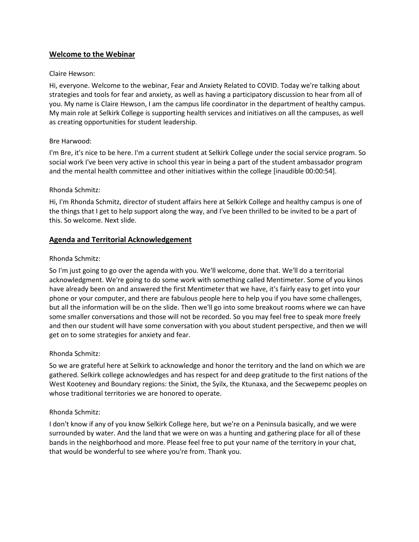# **Welcome to the Webinar**

### Claire Hewson:

Hi, everyone. Welcome to the webinar, Fear and Anxiety Related to COVID. Today we're talking about strategies and tools for fear and anxiety, as well as having a participatory discussion to hear from all of you. My name is Claire Hewson, I am the campus life coordinator in the department of healthy campus. My main role at Selkirk College is supporting health services and initiatives on all the campuses, as well as creating opportunities for student leadership.

#### Bre Harwood:

I'm Bre, it's nice to be here. I'm a current student at Selkirk College under the social service program. So social work I've been very active in school this year in being a part of the student ambassador program and the mental health committee and other initiatives within the college [inaudible 00:00:54].

#### Rhonda Schmitz:

Hi, I'm Rhonda Schmitz, director of student affairs here at Selkirk College and healthy campus is one of the things that I get to help support along the way, and I've been thrilled to be invited to be a part of this. So welcome. Next slide.

### **Agenda and Territorial Acknowledgement**

#### Rhonda Schmitz:

So I'm just going to go over the agenda with you. We'll welcome, done that. We'll do a territorial acknowledgment. We're going to do some work with something called Mentimeter. Some of you kinos have already been on and answered the first Mentimeter that we have, it's fairly easy to get into your phone or your computer, and there are fabulous people here to help you if you have some challenges, but all the information will be on the slide. Then we'll go into some breakout rooms where we can have some smaller conversations and those will not be recorded. So you may feel free to speak more freely and then our student will have some conversation with you about student perspective, and then we will get on to some strategies for anxiety and fear.

#### Rhonda Schmitz:

So we are grateful here at Selkirk to acknowledge and honor the territory and the land on which we are gathered. Selkirk college acknowledges and has respect for and deep gratitude to the first nations of the West Kooteney and Boundary regions: the Sinixt, the Syilx, the Ktunaxa, and the Secwepemc peoples on whose traditional territories we are honored to operate.

### Rhonda Schmitz:

I don't know if any of you know Selkirk College here, but we're on a Peninsula basically, and we were surrounded by water. And the land that we were on was a hunting and gathering place for all of these bands in the neighborhood and more. Please feel free to put your name of the territory in your chat, that would be wonderful to see where you're from. Thank you.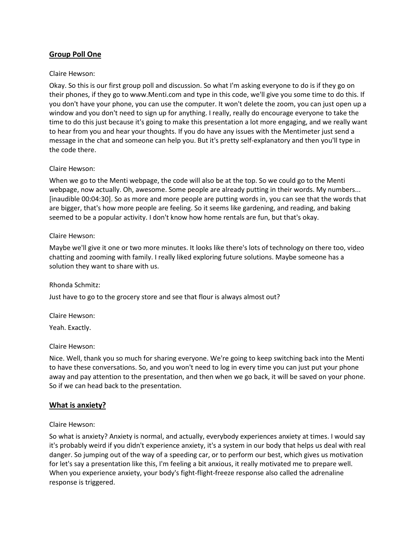# **Group Poll One**

#### Claire Hewson:

Okay. So this is our first group poll and discussion. So what I'm asking everyone to do is if they go on their phones, if they go to www.Menti.com and type in this code, we'll give you some time to do this. If you don't have your phone, you can use the computer. It won't delete the zoom, you can just open up a window and you don't need to sign up for anything. I really, really do encourage everyone to take the time to do this just because it's going to make this presentation a lot more engaging, and we really want to hear from you and hear your thoughts. If you do have any issues with the Mentimeter just send a message in the chat and someone can help you. But it's pretty self-explanatory and then you'll type in the code there.

#### Claire Hewson:

When we go to the Menti webpage, the code will also be at the top. So we could go to the Menti webpage, now actually. Oh, awesome. Some people are already putting in their words. My numbers... [inaudible 00:04:30]. So as more and more people are putting words in, you can see that the words that are bigger, that's how more people are feeling. So it seems like gardening, and reading, and baking seemed to be a popular activity. I don't know how home rentals are fun, but that's okay.

#### Claire Hewson:

Maybe we'll give it one or two more minutes. It looks like there's lots of technology on there too, video chatting and zooming with family. I really liked exploring future solutions. Maybe someone has a solution they want to share with us.

#### Rhonda Schmitz:

Just have to go to the grocery store and see that flour is always almost out?

Claire Hewson:

Yeah. Exactly.

### Claire Hewson:

Nice. Well, thank you so much for sharing everyone. We're going to keep switching back into the Menti to have these conversations. So, and you won't need to log in every time you can just put your phone away and pay attention to the presentation, and then when we go back, it will be saved on your phone. So if we can head back to the presentation.

### **What is anxiety?**

### Claire Hewson:

So what is anxiety? Anxiety is normal, and actually, everybody experiences anxiety at times. I would say it's probably weird if you didn't experience anxiety, it's a system in our body that helps us deal with real danger. So jumping out of the way of a speeding car, or to perform our best, which gives us motivation for let's say a presentation like this, I'm feeling a bit anxious, it really motivated me to prepare well. When you experience anxiety, your body's fight-flight-freeze response also called the adrenaline response is triggered.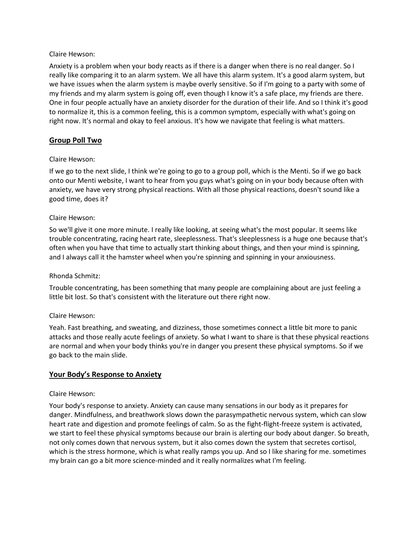Anxiety is a problem when your body reacts as if there is a danger when there is no real danger. So I really like comparing it to an alarm system. We all have this alarm system. It's a good alarm system, but we have issues when the alarm system is maybe overly sensitive. So if I'm going to a party with some of my friends and my alarm system is going off, even though I know it's a safe place, my friends are there. One in four people actually have an anxiety disorder for the duration of their life. And so I think it's good to normalize it, this is a common feeling, this is a common symptom, especially with what's going on right now. It's normal and okay to feel anxious. It's how we navigate that feeling is what matters.

# **Group Poll Two**

#### Claire Hewson:

If we go to the next slide, I think we're going to go to a group poll, which is the Menti. So if we go back onto our Menti website, I want to hear from you guys what's going on in your body because often with anxiety, we have very strong physical reactions. With all those physical reactions, doesn't sound like a good time, does it?

#### Claire Hewson:

So we'll give it one more minute. I really like looking, at seeing what's the most popular. It seems like trouble concentrating, racing heart rate, sleeplessness. That's sleeplessness is a huge one because that's often when you have that time to actually start thinking about things, and then your mind is spinning, and I always call it the hamster wheel when you're spinning and spinning in your anxiousness.

#### Rhonda Schmitz:

Trouble concentrating, has been something that many people are complaining about are just feeling a little bit lost. So that's consistent with the literature out there right now.

#### Claire Hewson:

Yeah. Fast breathing, and sweating, and dizziness, those sometimes connect a little bit more to panic attacks and those really acute feelings of anxiety. So what I want to share is that these physical reactions are normal and when your body thinks you're in danger you present these physical symptoms. So if we go back to the main slide.

### **Your Body's Response to Anxiety**

#### Claire Hewson:

Your body's response to anxiety. Anxiety can cause many sensations in our body as it prepares for danger. Mindfulness, and breathwork slows down the parasympathetic nervous system, which can slow heart rate and digestion and promote feelings of calm. So as the fight-flight-freeze system is activated, we start to feel these physical symptoms because our brain is alerting our body about danger. So breath, not only comes down that nervous system, but it also comes down the system that secretes cortisol, which is the stress hormone, which is what really ramps you up. And so I like sharing for me. sometimes my brain can go a bit more science-minded and it really normalizes what I'm feeling.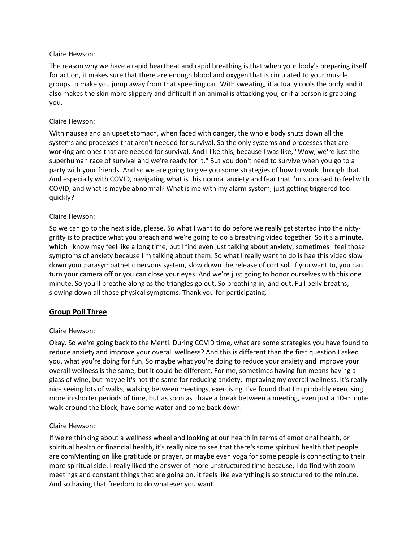The reason why we have a rapid heartbeat and rapid breathing is that when your body's preparing itself for action, it makes sure that there are enough blood and oxygen that is circulated to your muscle groups to make you jump away from that speeding car. With sweating, it actually cools the body and it also makes the skin more slippery and difficult if an animal is attacking you, or if a person is grabbing you.

#### Claire Hewson:

With nausea and an upset stomach, when faced with danger, the whole body shuts down all the systems and processes that aren't needed for survival. So the only systems and processes that are working are ones that are needed for survival. And I like this, because I was like, "Wow, we're just the superhuman race of survival and we're ready for it." But you don't need to survive when you go to a party with your friends. And so we are going to give you some strategies of how to work through that. And especially with COVID, navigating what is this normal anxiety and fear that I'm supposed to feel with COVID, and what is maybe abnormal? What is me with my alarm system, just getting triggered too quickly?

#### Claire Hewson:

So we can go to the next slide, please. So what I want to do before we really get started into the nittygritty is to practice what you preach and we're going to do a breathing video together. So it's a minute, which I know may feel like a long time, but I find even just talking about anxiety, sometimes I feel those symptoms of anxiety because I'm talking about them. So what I really want to do is hae this video slow down your parasympathetic nervous system, slow down the release of cortisol. If you want to, you can turn your camera off or you can close your eyes. And we're just going to honor ourselves with this one minute. So you'll breathe along as the triangles go out. So breathing in, and out. Full belly breaths, slowing down all those physical symptoms. Thank you for participating.

### **Group Poll Three**

### Claire Hewson:

Okay. So we're going back to the Menti. During COVID time, what are some strategies you have found to reduce anxiety and improve your overall wellness? And this is different than the first question I asked you, what you're doing for fun. So maybe what you're doing to reduce your anxiety and improve your overall wellness is the same, but it could be different. For me, sometimes having fun means having a glass of wine, but maybe it's not the same for reducing anxiety, improving my overall wellness. It's really nice seeing lots of walks, walking between meetings, exercising. I've found that I'm probably exercising more in shorter periods of time, but as soon as I have a break between a meeting, even just a 10-minute walk around the block, have some water and come back down.

#### Claire Hewson:

If we're thinking about a wellness wheel and looking at our health in terms of emotional health, or spiritual health or financial health, it's really nice to see that there's some spiritual health that people are comMenting on like gratitude or prayer, or maybe even yoga for some people is connecting to their more spiritual side. I really liked the answer of more unstructured time because, I do find with zoom meetings and constant things that are going on, it feels like everything is so structured to the minute. And so having that freedom to do whatever you want.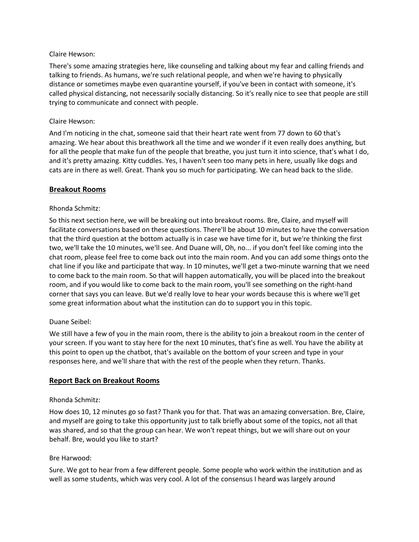There's some amazing strategies here, like counseling and talking about my fear and calling friends and talking to friends. As humans, we're such relational people, and when we're having to physically distance or sometimes maybe even quarantine yourself, if you've been in contact with someone, it's called physical distancing, not necessarily socially distancing. So it's really nice to see that people are still trying to communicate and connect with people.

### Claire Hewson:

And I'm noticing in the chat, someone said that their heart rate went from 77 down to 60 that's amazing. We hear about this breathwork all the time and we wonder if it even really does anything, but for all the people that make fun of the people that breathe, you just turn it into science, that's what I do, and it's pretty amazing. Kitty cuddles. Yes, I haven't seen too many pets in here, usually like dogs and cats are in there as well. Great. Thank you so much for participating. We can head back to the slide.

### **Breakout Rooms**

### Rhonda Schmitz:

So this next section here, we will be breaking out into breakout rooms. Bre, Claire, and myself will facilitate conversations based on these questions. There'll be about 10 minutes to have the conversation that the third question at the bottom actually is in case we have time for it, but we're thinking the first two, we'll take the 10 minutes, we'll see. And Duane will, Oh, no... if you don't feel like coming into the chat room, please feel free to come back out into the main room. And you can add some things onto the chat line if you like and participate that way. In 10 minutes, we'll get a two-minute warning that we need to come back to the main room. So that will happen automatically, you will be placed into the breakout room, and if you would like to come back to the main room, you'll see something on the right-hand corner that says you can leave. But we'd really love to hear your words because this is where we'll get some great information about what the institution can do to support you in this topic.

### Duane Seibel:

We still have a few of you in the main room, there is the ability to join a breakout room in the center of your screen. If you want to stay here for the next 10 minutes, that's fine as well. You have the ability at this point to open up the chatbot, that's available on the bottom of your screen and type in your responses here, and we'll share that with the rest of the people when they return. Thanks.

### **Report Back on Breakout Rooms**

### Rhonda Schmitz:

How does 10, 12 minutes go so fast? Thank you for that. That was an amazing conversation. Bre, Claire, and myself are going to take this opportunity just to talk briefly about some of the topics, not all that was shared, and so that the group can hear. We won't repeat things, but we will share out on your behalf. Bre, would you like to start?

### Bre Harwood:

Sure. We got to hear from a few different people. Some people who work within the institution and as well as some students, which was very cool. A lot of the consensus I heard was largely around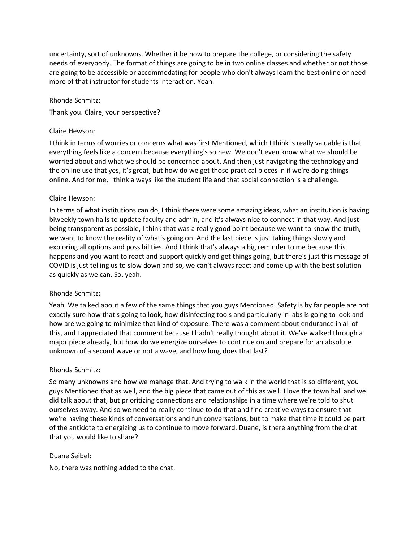uncertainty, sort of unknowns. Whether it be how to prepare the college, or considering the safety needs of everybody. The format of things are going to be in two online classes and whether or not those are going to be accessible or accommodating for people who don't always learn the best online or need more of that instructor for students interaction. Yeah.

#### Rhonda Schmitz:

Thank you. Claire, your perspective?

#### Claire Hewson:

I think in terms of worries or concerns what was first Mentioned, which I think is really valuable is that everything feels like a concern because everything's so new. We don't even know what we should be worried about and what we should be concerned about. And then just navigating the technology and the online use that yes, it's great, but how do we get those practical pieces in if we're doing things online. And for me, I think always like the student life and that social connection is a challenge.

#### Claire Hewson:

In terms of what institutions can do, I think there were some amazing ideas, what an institution is having biweekly town halls to update faculty and admin, and it's always nice to connect in that way. And just being transparent as possible, I think that was a really good point because we want to know the truth, we want to know the reality of what's going on. And the last piece is just taking things slowly and exploring all options and possibilities. And I think that's always a big reminder to me because this happens and you want to react and support quickly and get things going, but there's just this message of COVID is just telling us to slow down and so, we can't always react and come up with the best solution as quickly as we can. So, yeah.

#### Rhonda Schmitz:

Yeah. We talked about a few of the same things that you guys Mentioned. Safety is by far people are not exactly sure how that's going to look, how disinfecting tools and particularly in labs is going to look and how are we going to minimize that kind of exposure. There was a comment about endurance in all of this, and I appreciated that comment because I hadn't really thought about it. We've walked through a major piece already, but how do we energize ourselves to continue on and prepare for an absolute unknown of a second wave or not a wave, and how long does that last?

### Rhonda Schmitz:

So many unknowns and how we manage that. And trying to walk in the world that is so different, you guys Mentioned that as well, and the big piece that came out of this as well. I love the town hall and we did talk about that, but prioritizing connections and relationships in a time where we're told to shut ourselves away. And so we need to really continue to do that and find creative ways to ensure that we're having these kinds of conversations and fun conversations, but to make that time it could be part of the antidote to energizing us to continue to move forward. Duane, is there anything from the chat that you would like to share?

#### Duane Seibel:

No, there was nothing added to the chat.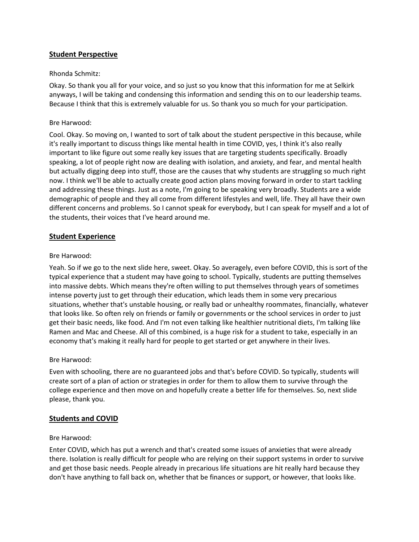# **Student Perspective**

### Rhonda Schmitz:

Okay. So thank you all for your voice, and so just so you know that this information for me at Selkirk anyways, I will be taking and condensing this information and sending this on to our leadership teams. Because I think that this is extremely valuable for us. So thank you so much for your participation.

## Bre Harwood:

Cool. Okay. So moving on, I wanted to sort of talk about the student perspective in this because, while it's really important to discuss things like mental health in time COVID, yes, I think it's also really important to like figure out some really key issues that are targeting students specifically. Broadly speaking, a lot of people right now are dealing with isolation, and anxiety, and fear, and mental health but actually digging deep into stuff, those are the causes that why students are struggling so much right now. I think we'll be able to actually create good action plans moving forward in order to start tackling and addressing these things. Just as a note, I'm going to be speaking very broadly. Students are a wide demographic of people and they all come from different lifestyles and well, life. They all have their own different concerns and problems. So I cannot speak for everybody, but I can speak for myself and a lot of the students, their voices that I've heard around me.

# **Student Experience**

### Bre Harwood:

Yeah. So if we go to the next slide here, sweet. Okay. So averagely, even before COVID, this is sort of the typical experience that a student may have going to school. Typically, students are putting themselves into massive debts. Which means they're often willing to put themselves through years of sometimes intense poverty just to get through their education, which leads them in some very precarious situations, whether that's unstable housing, or really bad or unhealthy roommates, financially, whatever that looks like. So often rely on friends or family or governments or the school services in order to just get their basic needs, like food. And I'm not even talking like healthier nutritional diets, I'm talking like Ramen and Mac and Cheese. All of this combined, is a huge risk for a student to take, especially in an economy that's making it really hard for people to get started or get anywhere in their lives.

### Bre Harwood:

Even with schooling, there are no guaranteed jobs and that's before COVID. So typically, students will create sort of a plan of action or strategies in order for them to allow them to survive through the college experience and then move on and hopefully create a better life for themselves. So, next slide please, thank you.

### **Students and COVID**

#### Bre Harwood:

Enter COVID, which has put a wrench and that's created some issues of anxieties that were already there. Isolation is really difficult for people who are relying on their support systems in order to survive and get those basic needs. People already in precarious life situations are hit really hard because they don't have anything to fall back on, whether that be finances or support, or however, that looks like.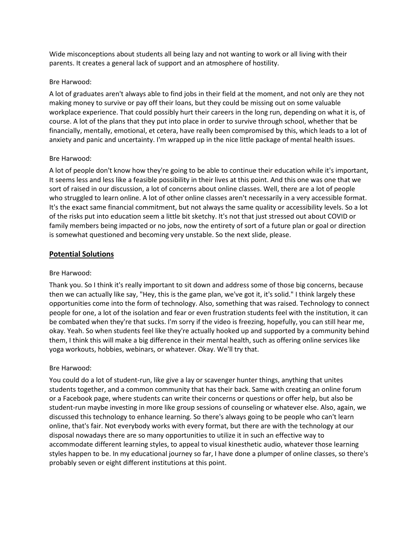Wide misconceptions about students all being lazy and not wanting to work or all living with their parents. It creates a general lack of support and an atmosphere of hostility.

#### Bre Harwood:

A lot of graduates aren't always able to find jobs in their field at the moment, and not only are they not making money to survive or pay off their loans, but they could be missing out on some valuable workplace experience. That could possibly hurt their careers in the long run, depending on what it is, of course. A lot of the plans that they put into place in order to survive through school, whether that be financially, mentally, emotional, et cetera, have really been compromised by this, which leads to a lot of anxiety and panic and uncertainty. I'm wrapped up in the nice little package of mental health issues.

### Bre Harwood:

A lot of people don't know how they're going to be able to continue their education while it's important, It seems less and less like a feasible possibility in their lives at this point. And this one was one that we sort of raised in our discussion, a lot of concerns about online classes. Well, there are a lot of people who struggled to learn online. A lot of other online classes aren't necessarily in a very accessible format. It's the exact same financial commitment, but not always the same quality or accessibility levels. So a lot of the risks put into education seem a little bit sketchy. It's not that just stressed out about COVID or family members being impacted or no jobs, now the entirety of sort of a future plan or goal or direction is somewhat questioned and becoming very unstable. So the next slide, please.

# **Potential Solutions**

### Bre Harwood:

Thank you. So I think it's really important to sit down and address some of those big concerns, because then we can actually like say, "Hey, this is the game plan, we've got it, it's solid." I think largely these opportunities come into the form of technology. Also, something that was raised. Technology to connect people for one, a lot of the isolation and fear or even frustration students feel with the institution, it can be combated when they're that sucks. I'm sorry if the video is freezing, hopefully, you can still hear me, okay. Yeah. So when students feel like they're actually hooked up and supported by a community behind them, I think this will make a big difference in their mental health, such as offering online services like yoga workouts, hobbies, webinars, or whatever. Okay. We'll try that.

### Bre Harwood:

You could do a lot of student-run, like give a lay or scavenger hunter things, anything that unites students together, and a common community that has their back. Same with creating an online forum or a Facebook page, where students can write their concerns or questions or offer help, but also be student-run maybe investing in more like group sessions of counseling or whatever else. Also, again, we discussed this technology to enhance learning. So there's always going to be people who can't learn online, that's fair. Not everybody works with every format, but there are with the technology at our disposal nowadays there are so many opportunities to utilize it in such an effective way to accommodate different learning styles, to appeal to visual kinesthetic audio, whatever those learning styles happen to be. In my educational journey so far, I have done a plumper of online classes, so there's probably seven or eight different institutions at this point.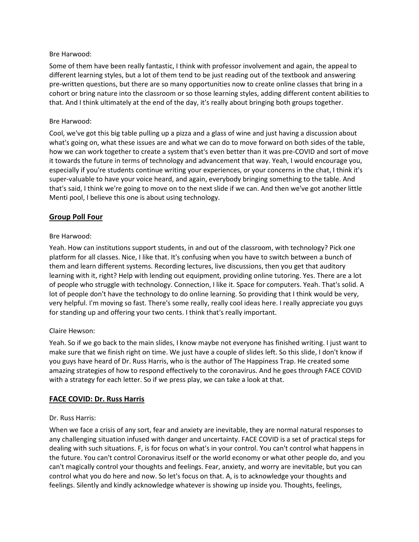## Bre Harwood:

Some of them have been really fantastic, I think with professor involvement and again, the appeal to different learning styles, but a lot of them tend to be just reading out of the textbook and answering pre-written questions, but there are so many opportunities now to create online classes that bring in a cohort or bring nature into the classroom or so those learning styles, adding different content abilities to that. And I think ultimately at the end of the day, it's really about bringing both groups together.

# Bre Harwood:

Cool, we've got this big table pulling up a pizza and a glass of wine and just having a discussion about what's going on, what these issues are and what we can do to move forward on both sides of the table, how we can work together to create a system that's even better than it was pre-COVID and sort of move it towards the future in terms of technology and advancement that way. Yeah, I would encourage you, especially if you're students continue writing your experiences, or your concerns in the chat, I think it's super-valuable to have your voice heard, and again, everybody bringing something to the table. And that's said, I think we're going to move on to the next slide if we can. And then we've got another little Menti pool, I believe this one is about using technology.

# **Group Poll Four**

# Bre Harwood:

Yeah. How can institutions support students, in and out of the classroom, with technology? Pick one platform for all classes. Nice, I like that. It's confusing when you have to switch between a bunch of them and learn different systems. Recording lectures, live discussions, then you get that auditory learning with it, right? Help with lending out equipment, providing online tutoring. Yes. There are a lot of people who struggle with technology. Connection, I like it. Space for computers. Yeah. That's solid. A lot of people don't have the technology to do online learning. So providing that I think would be very, very helpful. I'm moving so fast. There's some really, really cool ideas here. I really appreciate you guys for standing up and offering your two cents. I think that's really important.

# Claire Hewson:

Yeah. So if we go back to the main slides, I know maybe not everyone has finished writing. I just want to make sure that we finish right on time. We just have a couple of slides left. So this slide, I don't know if you guys have heard of Dr. Russ Harris, who is the author of The Happiness Trap. He created some amazing strategies of how to respond effectively to the coronavirus. And he goes through FACE COVID with a strategy for each letter. So if we press play, we can take a look at that.

# **FACE COVID: Dr. Russ Harris**

### Dr. Russ Harris:

When we face a crisis of any sort, fear and anxiety are inevitable, they are normal natural responses to any challenging situation infused with danger and uncertainty. FACE COVID is a set of practical steps for dealing with such situations. F, is for focus on what's in your control. You can't control what happens in the future. You can't control Coronavirus itself or the world economy or what other people do, and you can't magically control your thoughts and feelings. Fear, anxiety, and worry are inevitable, but you can control what you do here and now. So let's focus on that. A, is to acknowledge your thoughts and feelings. Silently and kindly acknowledge whatever is showing up inside you. Thoughts, feelings,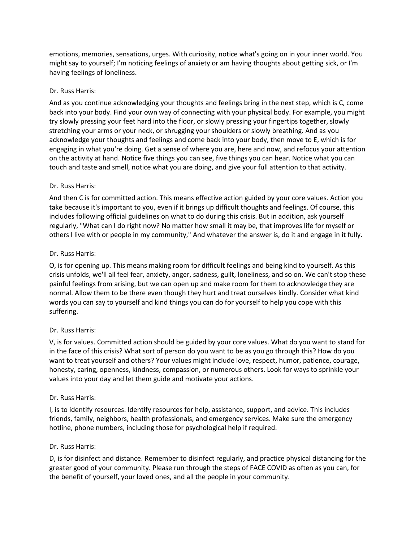emotions, memories, sensations, urges. With curiosity, notice what's going on in your inner world. You might say to yourself; I'm noticing feelings of anxiety or am having thoughts about getting sick, or I'm having feelings of loneliness.

## Dr. Russ Harris:

And as you continue acknowledging your thoughts and feelings bring in the next step, which is C, come back into your body. Find your own way of connecting with your physical body. For example, you might try slowly pressing your feet hard into the floor, or slowly pressing your fingertips together, slowly stretching your arms or your neck, or shrugging your shoulders or slowly breathing. And as you acknowledge your thoughts and feelings and come back into your body, then move to E, which is for engaging in what you're doing. Get a sense of where you are, here and now, and refocus your attention on the activity at hand. Notice five things you can see, five things you can hear. Notice what you can touch and taste and smell, notice what you are doing, and give your full attention to that activity.

# Dr. Russ Harris:

And then C is for committed action. This means effective action guided by your core values. Action you take because it's important to you, even if it brings up difficult thoughts and feelings. Of course, this includes following official guidelines on what to do during this crisis. But in addition, ask yourself regularly, "What can I do right now? No matter how small it may be, that improves life for myself or others I live with or people in my community," And whatever the answer is, do it and engage in it fully.

# Dr. Russ Harris:

O, is for opening up. This means making room for difficult feelings and being kind to yourself. As this crisis unfolds, we'll all feel fear, anxiety, anger, sadness, guilt, loneliness, and so on. We can't stop these painful feelings from arising, but we can open up and make room for them to acknowledge they are normal. Allow them to be there even though they hurt and treat ourselves kindly. Consider what kind words you can say to yourself and kind things you can do for yourself to help you cope with this suffering.

### Dr. Russ Harris:

V, is for values. Committed action should be guided by your core values. What do you want to stand for in the face of this crisis? What sort of person do you want to be as you go through this? How do you want to treat yourself and others? Your values might include love, respect, humor, patience, courage, honesty, caring, openness, kindness, compassion, or numerous others. Look for ways to sprinkle your values into your day and let them guide and motivate your actions.

### Dr. Russ Harris:

I, is to identify resources. Identify resources for help, assistance, support, and advice. This includes friends, family, neighbors, health professionals, and emergency services. Make sure the emergency hotline, phone numbers, including those for psychological help if required.

### Dr. Russ Harris:

D, is for disinfect and distance. Remember to disinfect regularly, and practice physical distancing for the greater good of your community. Please run through the steps of FACE COVID as often as you can, for the benefit of yourself, your loved ones, and all the people in your community.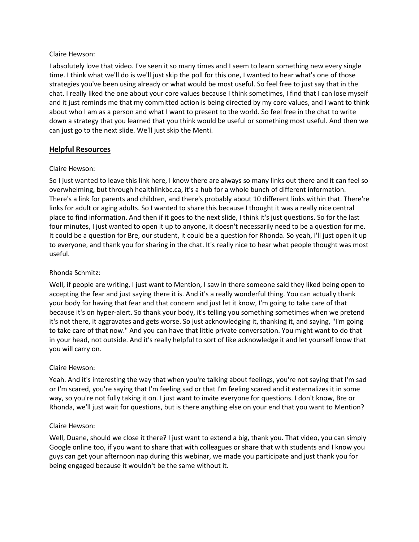I absolutely love that video. I've seen it so many times and I seem to learn something new every single time. I think what we'll do is we'll just skip the poll for this one, I wanted to hear what's one of those strategies you've been using already or what would be most useful. So feel free to just say that in the chat. I really liked the one about your core values because I think sometimes, I find that I can lose myself and it just reminds me that my committed action is being directed by my core values, and I want to think about who I am as a person and what I want to present to the world. So feel free in the chat to write down a strategy that you learned that you think would be useful or something most useful. And then we can just go to the next slide. We'll just skip the Menti.

# **Helpful Resources**

### Claire Hewson:

So I just wanted to leave this link here, I know there are always so many links out there and it can feel so overwhelming, but through healthlinkbc.ca, it's a hub for a whole bunch of different information. There's a link for parents and children, and there's probably about 10 different links within that. There're links for adult or aging adults. So I wanted to share this because I thought it was a really nice central place to find information. And then if it goes to the next slide, I think it's just questions. So for the last four minutes, I just wanted to open it up to anyone, it doesn't necessarily need to be a question for me. It could be a question for Bre, our student, it could be a question for Rhonda. So yeah, I'll just open it up to everyone, and thank you for sharing in the chat. It's really nice to hear what people thought was most useful.

### Rhonda Schmitz:

Well, if people are writing, I just want to Mention, I saw in there someone said they liked being open to accepting the fear and just saying there it is. And it's a really wonderful thing. You can actually thank your body for having that fear and that concern and just let it know, I'm going to take care of that because it's on hyper-alert. So thank your body, it's telling you something sometimes when we pretend it's not there, it aggravates and gets worse. So just acknowledging it, thanking it, and saying, "I'm going to take care of that now." And you can have that little private conversation. You might want to do that in your head, not outside. And it's really helpful to sort of like acknowledge it and let yourself know that you will carry on.

### Claire Hewson:

Yeah. And it's interesting the way that when you're talking about feelings, you're not saying that I'm sad or I'm scared, you're saying that I'm feeling sad or that I'm feeling scared and it externalizes it in some way, so you're not fully taking it on. I just want to invite everyone for questions. I don't know, Bre or Rhonda, we'll just wait for questions, but is there anything else on your end that you want to Mention?

### Claire Hewson:

Well, Duane, should we close it there? I just want to extend a big, thank you. That video, you can simply Google online too, if you want to share that with colleagues or share that with students and I know you guys can get your afternoon nap during this webinar, we made you participate and just thank you for being engaged because it wouldn't be the same without it.